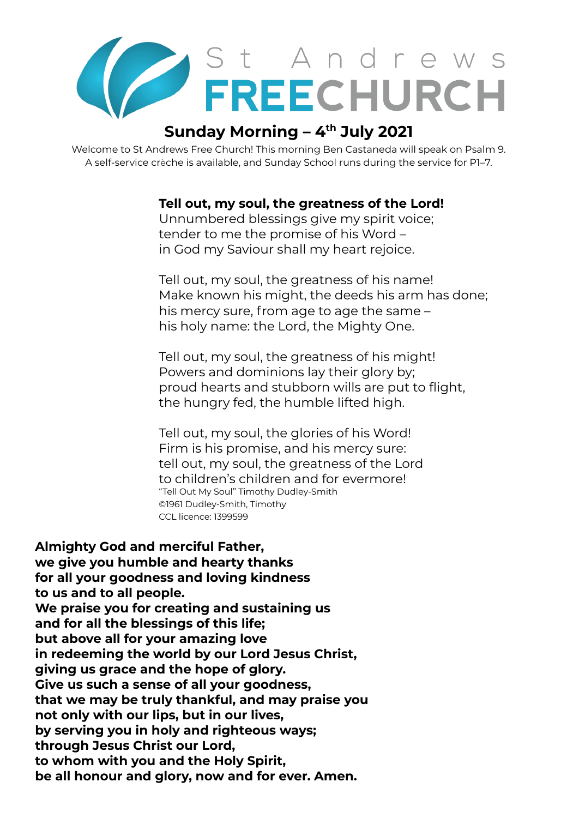

# **Sunday Morning – 4 th July 2021**

Welcome to St Andrews Free Church! This morning Ben Castaneda will speak on Psalm 9. A self-service crèche is available, and Sunday School runs during the service for P1–7.

**Tell out, my soul, the greatness of the Lord!**

Unnumbered blessings give my spirit voice; tender to me the promise of his Word – in God my Saviour shall my heart rejoice.

Tell out, my soul, the greatness of his name! Make known his might, the deeds his arm has done; his mercy sure, from age to age the same – his holy name: the Lord, the Mighty One.

Tell out, my soul, the greatness of his might! Powers and dominions lay their glory by; proud hearts and stubborn wills are put to flight, the hungry fed, the humble lifted high.

Tell out, my soul, the glories of his Word! Firm is his promise, and his mercy sure: tell out, my soul, the greatness of the Lord to children's children and for evermore! "Tell Out My Soul" Timothy Dudley-Smith ©1961 Dudley-Smith, Timothy CCL licence: 1399599

**Almighty God and merciful Father, we give you humble and hearty thanks for all your goodness and loving kindness to us and to all people. We praise you for creating and sustaining us and for all the blessings of this life; but above all for your amazing love in redeeming the world by our Lord Jesus Christ, giving us grace and the hope of glory. Give us such a sense of all your goodness, that we may be truly thankful, and may praise you not only with our lips, but in our lives, by serving you in holy and righteous ways; through Jesus Christ our Lord, to whom with you and the Holy Spirit, be all honour and glory, now and for ever. Amen.**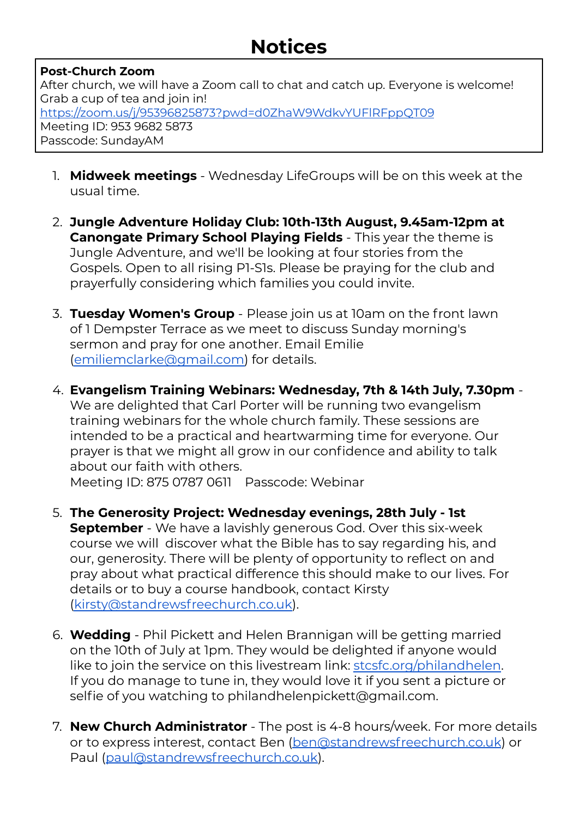# **Notices**

### **Post-Church Zoom**

After church, we will have a Zoom call to chat and catch up. Everyone is welcome! Grab a cup of tea and join in! https://zoom.us/j/95396825873?pwd=d0ZhaW9WdkvYUFlRFppOT09 Meeting ID: 953 9682 5873 Passcode: SundayAM

- 1. **Midweek meetings** Wednesday LifeGroups will be on this week at the usual time.
- 2. **Jungle Adventure Holiday Club: 10th-13th August, 9.45am-12pm at Canongate Primary School Playing Fields** - This year the theme is Jungle Adventure, and we'll be looking at four stories from the Gospels. Open to all rising P1-S1s. Please be praying for the club and prayerfully considering which families you could invite.
- 3. **Tuesday Women's Group** Please join us at 10am on the front lawn of 1 Dempster Terrace as we meet to discuss Sunday morning's sermon and pray for one another. Email Emilie [\(emiliemclarke@gmail.com\)](mailto:emiliemclarke@gmail.com) for details.
- 4. **Evangelism Training Webinars: Wednesday, 7th & 14th July, 7.30pm** We are delighted that Carl Porter will be running two evangelism training webinars for the whole church family. These sessions are intended to be a practical and heartwarming time for everyone. Our prayer is that we might all grow in our confidence and ability to talk about our faith with others.

Meeting ID: 875 0787 0611 Passcode: Webinar

- 5. **The Generosity Project: Wednesday evenings, 28th July - 1st September** - We have a lavishly generous God. Over this six-week course we will discover what the Bible has to say regarding his, and our, generosity. There will be plenty of opportunity to reflect on and pray about what practical difference this should make to our lives. For details or to buy a course handbook, contact Kirsty [\(kirsty@standrewsfreechurch.co.uk\)](mailto:kirsty@standrewsfreechurch.co.uk).
- 6. **Wedding** Phil Pickett and Helen Brannigan will be getting married on the 10th of July at 1pm. They would be delighted if anyone would like to join the service on this livestream link: [stcsfc.org/philandhelen.](http://stcsfc.org/philandhelen) If you do manage to tune in, they would love it if you sent a picture or selfie of you watching to philandhelenpickett@gmail.com.
- 7. **New Church Administrator** The post is 4-8 hours/week. For more details or to express interest, contact Ben [\(ben@standrewsfreechurch.co.uk](mailto:ben@standrewsfreechurch.co.uk)) or Paul ([paul@standrewsfreechurch.co.uk](mailto:paul@standrewsfreechurch.co.uk)).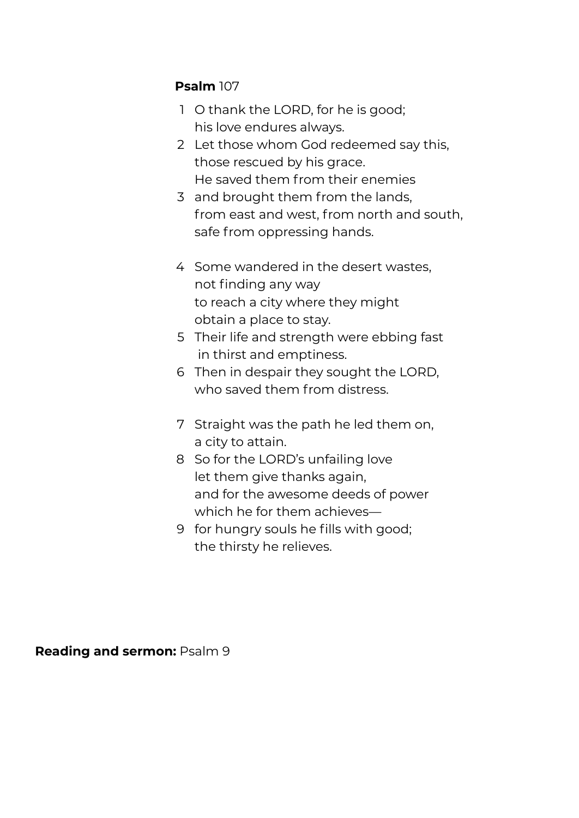### **Psalm** 107

- 1 O thank the LORD, for he is good; his love endures always.
- 2 Let those whom God redeemed say this, those rescued by his grace. He saved them from their enemies
- 3 and brought them from the lands, from east and west, from north and south, safe from oppressing hands.
- 4 Some wandered in the desert wastes, not finding any way to reach a city where they might obtain a place to stay.
- 5 Their life and strength were ebbing fast in thirst and emptiness.
- 6 Then in despair they sought the LORD, who saved them from distress.
- 7 Straight was the path he led them on, a city to attain.
- 8 So for the LORD's unfailing love let them give thanks again, and for the awesome deeds of power which he for them achieves—
- 9 for hungry souls he fills with good; the thirsty he relieves.

**Reading and sermon:** Psalm 9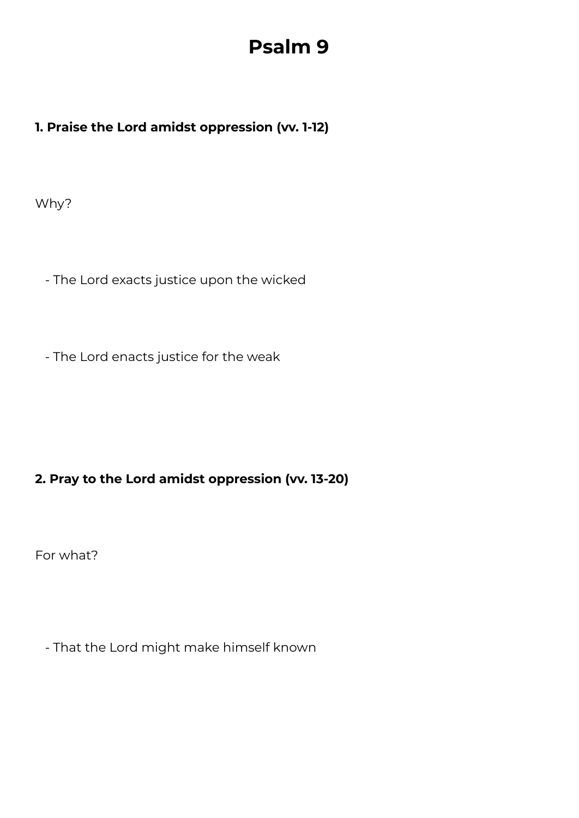# **Psalm 9**

## **1. Praise the Lord amidst oppression (vv. 1-12)**

Why?

- The Lord exacts justice upon the wicked

- The Lord enacts justice for the weak

## **2. Pray to the Lord amidst oppression (vv. 13-20)**

For what?

- That the Lord might make himself known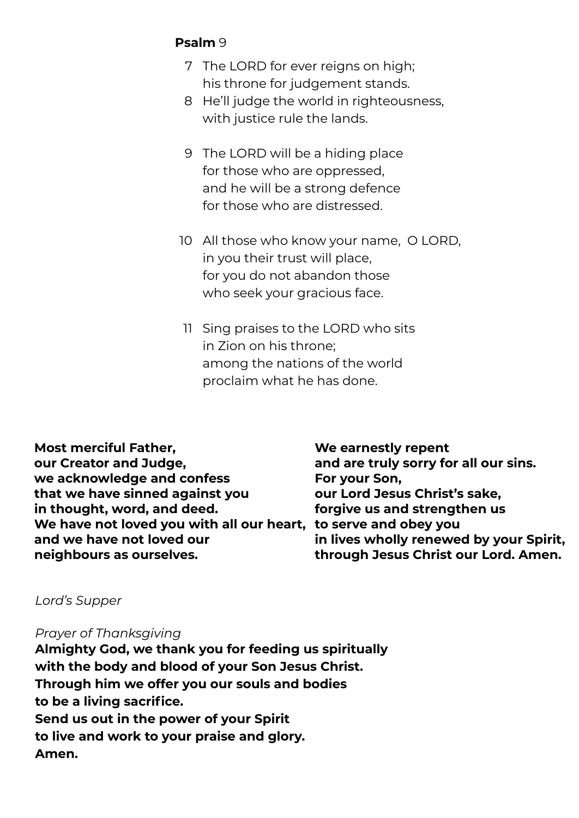## **Psalm** 9

- 7 The LORD for ever reigns on high; his throne for judgement stands.
- 8 He'll judge the world in righteousness, with justice rule the lands.
- 9 The LORD will be a hiding place for those who are oppressed, and he will be a strong defence for those who are distressed.
- 10 All those who know your name, O LORD, in you their trust will place, for you do not abandon those who seek your gracious face.
- 11 Sing praises to the LORD who sits in Zion on his throne; among the nations of the world proclaim what he has done.

**Most merciful Father, our Creator and Judge, we acknowledge and confess that we have sinned against you in thought, word, and deed. We have not loved you with all our heart, to serve and obey you and we have not loved our neighbours as ourselves.**

**We earnestly repent and are truly sorry for all our sins. For your Son, our Lord Jesus Christ's sake, forgive us and strengthen us in lives wholly renewed by your Spirit, through Jesus Christ our Lord. Amen.**

#### *Lord's Supper*

*Prayer of Thanksgiving*

**Almighty God, we thank you for feeding us spiritually with the body and blood of your Son Jesus Christ. Through him we offer you our souls and bodies to be a living sacrifice. Send us out in the power of your Spirit to live and work to your praise and glory. Amen.**